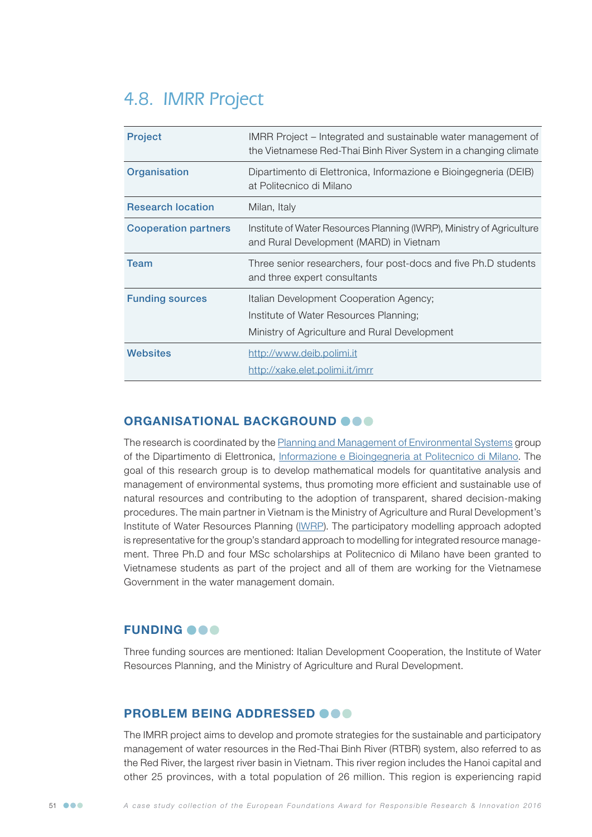# 4.8. IMRR Project

| <b>Project</b>              | IMRR Project – Integrated and sustainable water management of<br>the Vietnamese Red-Thai Binh River System in a changing climate |
|-----------------------------|----------------------------------------------------------------------------------------------------------------------------------|
| Organisation                | Dipartimento di Elettronica, Informazione e Bioingegneria (DEIB)<br>at Politecnico di Milano                                     |
| <b>Research location</b>    | Milan, Italy                                                                                                                     |
| <b>Cooperation partners</b> | Institute of Water Resources Planning (IWRP), Ministry of Agriculture<br>and Rural Development (MARD) in Vietnam                 |
| <b>Team</b>                 | Three senior researchers, four post-docs and five Ph.D students<br>and three expert consultants                                  |
| <b>Funding sources</b>      | Italian Development Cooperation Agency;                                                                                          |
|                             | Institute of Water Resources Planning;                                                                                           |
|                             | Ministry of Agriculture and Rural Development                                                                                    |
| Websites                    | http://www.deib.polimi.it                                                                                                        |
|                             | http://xake.elet.polimi.it/imrr                                                                                                  |

### ORGANISATIONAL BACKGROUND OOO

The research is coordinated by the [Planning and Management of Environmental Systems](http://env.elet.polimi.it) group of the Dipartimento di Elettronica, [Informazione e Bioingegneria at Politecnico di Milano](http://www.nrm.deib.polimi.it). The goal of this research group is to develop mathematical models for quantitative analysis and management of environmental systems, thus promoting more efficient and sustainable use of natural resources and contributing to the adoption of transparent, shared decision-making procedures. The main partner in Vietnam is the Ministry of Agriculture and Rural Development's Institute of Water Resources Planning [\(IWRP\)](http://iwarp.org.vn). The participatory modelling approach adopted is representative for the group's standard approach to modelling for integrated resource management. Three Ph.D and four MSc scholarships at Politecnico di Milano have been granted to Vietnamese students as part of the project and all of them are working for the Vietnamese Government in the water management domain.

### **FUNDING OOO**

Three funding sources are mentioned: Italian Development Cooperation, the Institute of Water Resources Planning, and the Ministry of Agriculture and Rural Development.

### PROBLEM BEING ADDRESSED  $\bullet \bullet \bullet$

The IMRR project aims to develop and promote strategies for the sustainable and participatory management of water resources in the Red-Thai Binh River (RTBR) system, also referred to as the Red River, the largest river basin in Vietnam. This river region includes the Hanoi capital and other 25 provinces, with a total population of 26 million. This region is experiencing rapid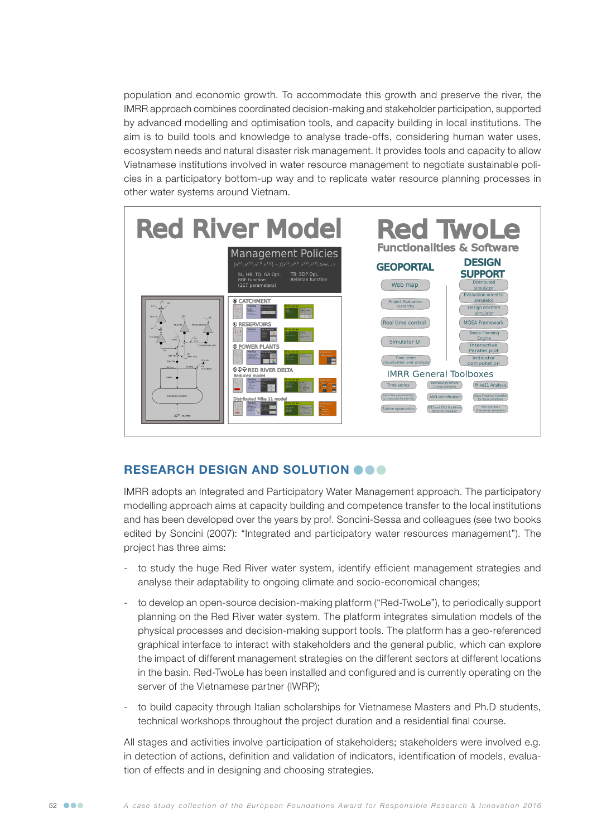population and economic growth. To accommodate this growth and preserve the river, the IMRR approach combines coordinated decision-making and stakeholder participation, supported by advanced modelling and optimisation tools, and capacity building in local institutions. The aim is to build tools and knowledge to analyse trade-offs, considering human water uses, ecosystem needs and natural disaster risk management. It provides tools and capacity to allow Vietnamese institutions involved in water resource management to negotiate sustainable policies in a participatory bottom-up way and to replicate water resource planning processes in other water systems around Vietnam.



### RESEARCH DESIGN AND SOLUTION OOO

IMRR adopts an Integrated and Participatory Water Management approach. The participatory modelling approach aims at capacity building and competence transfer to the local institutions and has been developed over the years by prof. Soncini-Sessa and colleagues (see two books edited by Soncini (2007): "Integrated and participatory water resources management"). The project has three aims:

- to study the huge Red River water system, identify efficient management strategies and analyse their adaptability to ongoing climate and socio-economical changes;
- to develop an open-source decision-making platform ("Red-TwoLe"), to periodically support planning on the Red River water system. The platform integrates simulation models of the physical processes and decision-making support tools. The platform has a geo-referenced graphical interface to interact with stakeholders and the general public, which can explore the impact of different management strategies on the different sectors at different locations in the basin. Red-TwoLe has been installed and configured and is currently operating on the server of the Vietnamese partner (IWRP);
- to build capacity through Italian scholarships for Vietnamese Masters and Ph.D students, technical workshops throughout the project duration and a residential final course.

All stages and activities involve participation of stakeholders; stakeholders were involved e.g. in detection of actions, definition and validation of indicators, identification of models, evaluation of effects and in designing and choosing strategies.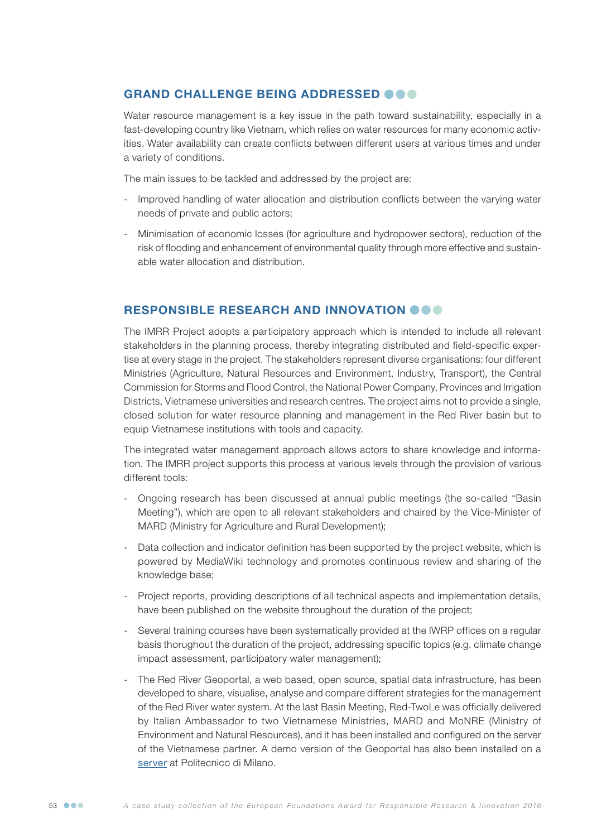## GRAND CHALLENGE BEING ADDRESSED @@@

Water resource management is a key issue in the path toward sustainability, especially in a fast-developing country like Vietnam, which relies on water resources for many economic activities. Water availability can create conflicts between different users at various times and under a variety of conditions.

The main issues to be tackled and addressed by the project are:

- Improved handling of water allocation and distribution conflicts between the varying water needs of private and public actors;
- Minimisation of economic losses (for agriculture and hydropower sectors), reduction of the risk of flooding and enhancement of environmental quality through more effective and sustainable water allocation and distribution.

### RESPONSIBLE RESEARCH AND INNOVATION OOO

The IMRR Project adopts a participatory approach which is intended to include all relevant stakeholders in the planning process, thereby integrating distributed and field-specific expertise at every stage in the project. The stakeholders represent diverse organisations: four different Ministries (Agriculture, Natural Resources and Environment, Industry, Transport), the Central Commission for Storms and Flood Control, the National Power Company, Provinces and Irrigation Districts, Vietnamese universities and research centres. The project aims not to provide a single, closed solution for water resource planning and management in the Red River basin but to equip Vietnamese institutions with tools and capacity.

The integrated water management approach allows actors to share knowledge and information. The IMRR project supports this process at various levels through the provision of various different tools:

- Ongoing research has been discussed at annual public meetings (the so-called "Basin Meeting"), which are open to all relevant stakeholders and chaired by the Vice-Minister of MARD (Ministry for Agriculture and Rural Development);
- Data collection and indicator definition has been supported by the project website, which is powered by MediaWiki technology and promotes continuous review and sharing of the knowledge base;
- Project reports, providing descriptions of all technical aspects and implementation details, have been published on the website throughout the duration of the project;
- Several training courses have been systematically provided at the IWRP offices on a regular basis thorughout the duration of the project, addressing specific topics (e.g. climate change impact assessment, participatory water management);
- The Red River Geoportal, a web based, open source, spatial data infrastructure, has been developed to share, visualise, analyse and compare different strategies for the management of the Red River water system. At the last Basin Meeting, Red-TwoLe was officially delivered by Italian Ambassador to two Vietnamese Ministries, MARD and MoNRE (Ministry of Environment and Natural Resources), and it has been installed and configured on the server of the Vietnamese partner. A demo version of the Geoportal has also been installed on a [server](http://xake.elet.polimi.it:8081/vietnam) at Politecnico di Milano.